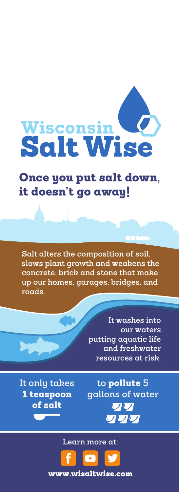# Wisconsin<br>Salt Wise

## Once you put salt down, it doesn't go away!

**Salt alters the composition of soil, slows plant growth and weakens the concrete, brick and stone that make up our homes, garages, bridges, and roads.**

> **It washes into our waters putting aquatic life and freshwater resources at risk.**

**It only takes** 1 teaspoon of salt

**to** pollute **5 gallons of water** VV ワワワ

**Learn more at:**



www.wisaltwise.com